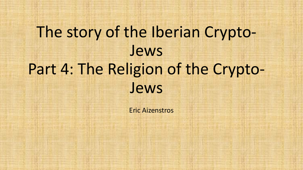# The story of the Iberian Crypto-Jews Part 4: The Religion of the Crypto-Jews

Eric Aizenstros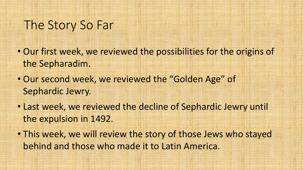# The Story So Far

- Our first week, we reviewed the possibilities for the origins of the Sepharadim.
- Our second week, we reviewed the "Golden Age" of Sephardic Jewry.
- Last week, we reviewed the decline of Sephardic Jewry until the expulsion in 1492.
- This week, we will review the story of those Jews who stayed behind and those who made it to Latin America.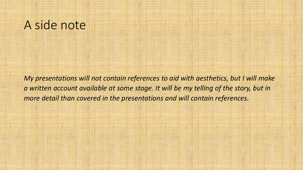# A side note

*My presentations will not contain references to aid with aesthetics, but I will make a written account available at some stage. It will be my telling of the story, but in more detail than covered in the presentations and will contain references.*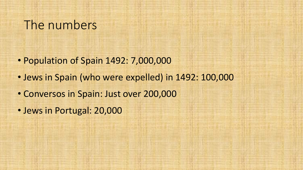# The numbers

- Population of Spain 1492: 7,000,000
- Jews in Spain (who were expelled) in 1492: 100,000
- Conversos in Spain: Just over 200,000
- Jews in Portugal: 20,000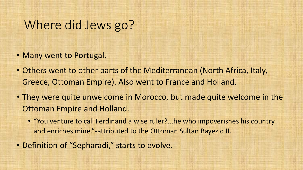# Where did Jews go?

- Many went to Portugal.
- Others went to other parts of the Mediterranean (North Africa, Italy, Greece, Ottoman Empire). Also went to France and Holland.
- They were quite unwelcome in Morocco, but made quite welcome in the Ottoman Empire and Holland.
	- "You venture to call Ferdinand a wise ruler?...he who impoverishes his country and enriches mine."-attributed to the Ottoman Sultan Bayezid II.
- Definition of "Sepharadi," starts to evolve.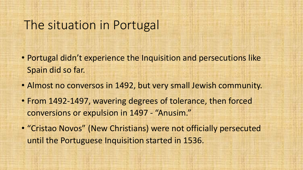# The situation in Portugal

- Portugal didn't experience the Inquisition and persecutions like Spain did so far.
- Almost no conversos in 1492, but very small Jewish community.
- From 1492-1497, wavering degrees of tolerance, then forced conversions or expulsion in 1497 - "Anusim."
- "Cristao Novos" (New Christians) were not officially persecuted until the Portuguese Inquisition started in 1536.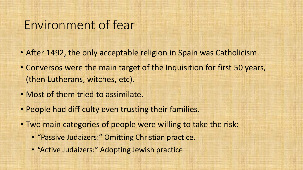# Environment of fear

- After 1492, the only acceptable religion in Spain was Catholicism.
- Conversos were the main target of the Inquisition for first 50 years, (then Lutherans, witches, etc).
- Most of them tried to assimilate.
- People had difficulty even trusting their families.
- Two main categories of people were willing to take the risk:
	- "Passive Judaizers:" Omitting Christian practice.
	- "Active Judaizers:" Adopting Jewish practice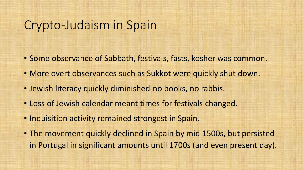# Crypto-Judaism in Spain

- Some observance of Sabbath, festivals, fasts, kosher was common.
- More overt observances such as Sukkot were quickly shut down.
- Jewish literacy quickly diminished-no books, no rabbis.
- Loss of Jewish calendar meant times for festivals changed.
- Inquisition activity remained strongest in Spain.
- The movement quickly declined in Spain by mid 1500s, but persisted in Portugal in significant amounts until 1700s (and even present day).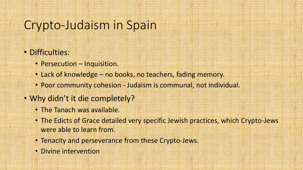# Crypto-Judaism in Spain

#### • Difficulties:

- Persecution Inquisition.
- Lack of knowledge no books, no teachers, fading memory.
- Poor community cohesion Judaism is communal, not individual.

#### • Why didn't it die completely?

- The Tanach was available.
- The Edicts of Grace detailed very specific Jewish practices, which Crypto-Jews were able to learn from.
- Tenacity and perseverance from these Crypto-Jews.
- Divine intervention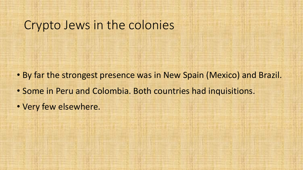# Crypto Jews in the colonies

- By far the strongest presence was in New Spain (Mexico) and Brazil.
- Some in Peru and Colombia. Both countries had inquisitions.
- Very few elsewhere.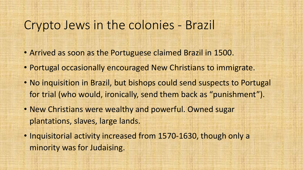## Crypto Jews in the colonies - Brazil

- Arrived as soon as the Portuguese claimed Brazil in 1500.
- Portugal occasionally encouraged New Christians to immigrate.
- No inquisition in Brazil, but bishops could send suspects to Portugal for trial (who would, ironically, send them back as "punishment").
- New Christians were wealthy and powerful. Owned sugar plantations, slaves, large lands.
- Inquisitorial activity increased from 1570-1630, though only a minority was for Judaising.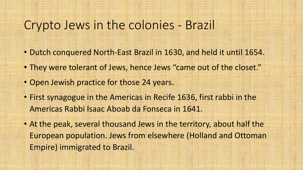## Crypto Jews in the colonies - Brazil

- Dutch conquered North-East Brazil in 1630, and held it until 1654.
- They were tolerant of Jews, hence Jews "came out of the closet."
- Open Jewish practice for those 24 years.
- First synagogue in the Americas in Recife 1636, first rabbi in the Americas Rabbi Isaac Aboab da Fonseca in 1641.
- At the peak, several thousand Jews in the territory, about half the European population. Jews from elsewhere (Holland and Ottoman Empire) immigrated to Brazil.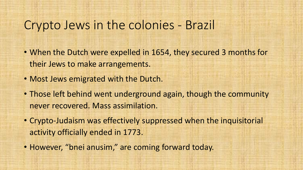## Crypto Jews in the colonies - Brazil

- When the Dutch were expelled in 1654, they secured 3 months for their Jews to make arrangements.
- Most Jews emigrated with the Dutch.
- Those left behind went underground again, though the community never recovered. Mass assimilation.
- Crypto-Judaism was effectively suppressed when the inquisitorial activity officially ended in 1773.
- However, "bnei anusim," are coming forward today.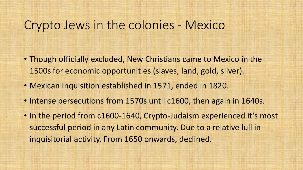## Crypto Jews in the colonies - Mexico

- Though officially excluded, New Christians came to Mexico in the 1500s for economic opportunities (slaves, land, gold, silver).
- Mexican Inquisition established in 1571, ended in 1820.
- Intense persecutions from 1570s until c1600, then again in 1640s.
- In the period from c1600-1640, Crypto-Judaism experienced it's most successful period in any Latin community. Due to a relative lull in inquisitorial activity. From 1650 onwards, declined.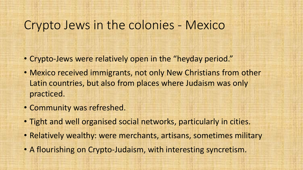## Crypto Jews in the colonies - Mexico

- Crypto-Jews were relatively open in the "heyday period."
- Mexico received immigrants, not only New Christians from other Latin countries, but also from places where Judaism was only practiced.
- Community was refreshed.
- Tight and well organised social networks, particularly in cities.
- Relatively wealthy: were merchants, artisans, sometimes military
- A flourishing on Crypto-Judaism, with interesting syncretism.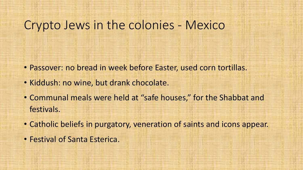## Crypto Jews in the colonies - Mexico

- Passover: no bread in week before Easter, used corn tortillas.
- Kiddush: no wine, but drank chocolate.
- Communal meals were held at "safe houses," for the Shabbat and festivals.
- Catholic beliefs in purgatory, veneration of saints and icons appear.
- Festival of Santa Esterica.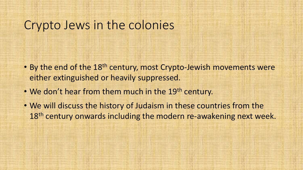## Crypto Jews in the colonies

- By the end of the 18<sup>th</sup> century, most Crypto-Jewish movements were either extinguished or heavily suppressed.
- We don't hear from them much in the 19<sup>th</sup> century.
- We will discuss the history of Judaism in these countries from the 18<sup>th</sup> century onwards including the modern re-awakening next week.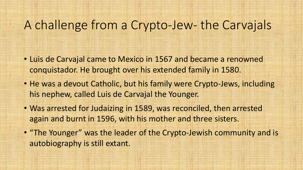- Luis de Carvajal came to Mexico in 1567 and became a renowned conquistador. He brought over his extended family in 1580.
- He was a devout Catholic, but his family were Crypto-Jews, including his nephew, called Luis de Carvajal the Younger.
- Was arrested for Judaizing in 1589, was reconciled, then arrested again and burnt in 1596, with his mother and three sisters.
- "The Younger" was the leader of the Crypto-Jewish community and is autobiography is still extant.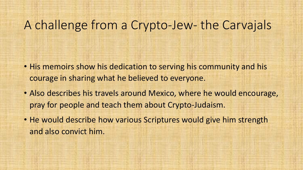- His memoirs show his dedication to serving his community and his courage in sharing what he believed to everyone.
- Also describes his travels around Mexico, where he would encourage, pray for people and teach them about Crypto-Judaism.
- He would describe how various Scriptures would give him strength and also convict him.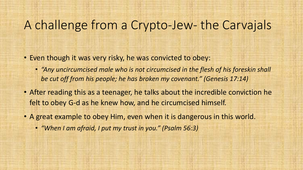- Even though it was very risky, he was convicted to obey:
	- *"Any uncircumcised male who is not circumcised in the flesh of his foreskin shall be cut off from his people; he has broken my covenant." (Genesis 17:14)*
- After reading this as a teenager, he talks about the incredible conviction he felt to obey G-d as he knew how, and he circumcised himself.
- A great example to obey Him, even when it is dangerous in this world.
	- *"When I am afraid, I put my trust in you." (Psalm 56:3)*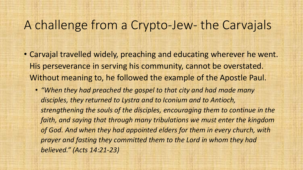- Carvajal travelled widely, preaching and educating wherever he went. His perseverance in serving his community, cannot be overstated. Without meaning to, he followed the example of the Apostle Paul.
	- *"When they had preached the gospel to that city and had made many disciples, they returned to Lystra and to Iconium and to Antioch, strengthening the souls of the disciples, encouraging them to continue in the faith, and saying that through many tribulations we must enter the kingdom of God. And when they had appointed elders for them in every church, with prayer and fasting they committed them to the Lord in whom they had believed." (Acts 14:21-23)*